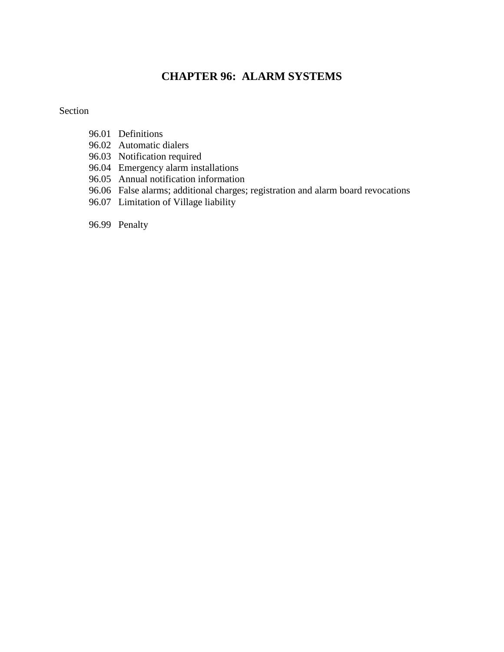# **CHAPTER 96: ALARM SYSTEMS**

#### Section

- 96.01 Definitions
- 96.02 Automatic dialers
- 96.03 Notification required
- 96.04 Emergency alarm installations
- 96.05 Annual notification information
- 96.06 False alarms; additional charges; registration and alarm board revocations
- 96.07 Limitation of Village liability
- 96.99 Penalty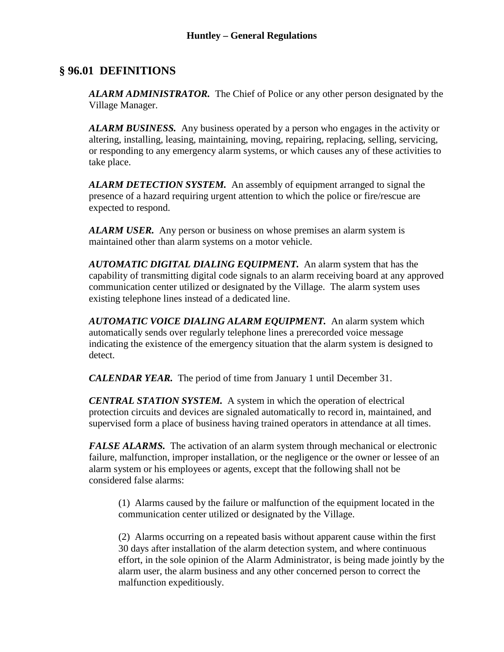### **§ 96.01 DEFINITIONS**

*ALARM ADMINISTRATOR.* The Chief of Police or any other person designated by the Village Manager.

*ALARM BUSINESS.* Any business operated by a person who engages in the activity or altering, installing, leasing, maintaining, moving, repairing, replacing, selling, servicing, or responding to any emergency alarm systems, or which causes any of these activities to take place.

*ALARM DETECTION SYSTEM.* An assembly of equipment arranged to signal the presence of a hazard requiring urgent attention to which the police or fire/rescue are expected to respond.

*ALARM USER.* Any person or business on whose premises an alarm system is maintained other than alarm systems on a motor vehicle.

*AUTOMATIC DIGITAL DIALING EQUIPMENT.* An alarm system that has the capability of transmitting digital code signals to an alarm receiving board at any approved communication center utilized or designated by the Village. The alarm system uses existing telephone lines instead of a dedicated line.

*AUTOMATIC VOICE DIALING ALARM EQUIPMENT.* An alarm system which automatically sends over regularly telephone lines a prerecorded voice message indicating the existence of the emergency situation that the alarm system is designed to detect.

*CALENDAR YEAR.* The period of time from January 1 until December 31.

*CENTRAL STATION SYSTEM.* A system in which the operation of electrical protection circuits and devices are signaled automatically to record in, maintained, and supervised form a place of business having trained operators in attendance at all times.

*FALSE ALARMS*. The activation of an alarm system through mechanical or electronic failure, malfunction, improper installation, or the negligence or the owner or lessee of an alarm system or his employees or agents, except that the following shall not be considered false alarms:

(1) Alarms caused by the failure or malfunction of the equipment located in the communication center utilized or designated by the Village.

(2) Alarms occurring on a repeated basis without apparent cause within the first 30 days after installation of the alarm detection system, and where continuous effort, in the sole opinion of the Alarm Administrator, is being made jointly by the alarm user, the alarm business and any other concerned person to correct the malfunction expeditiously.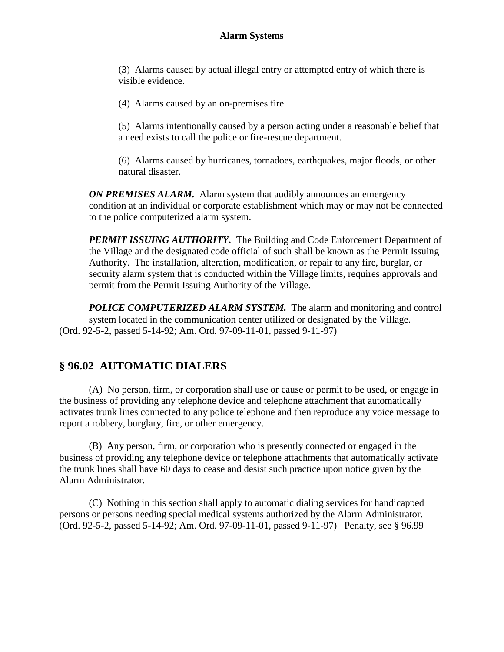(3) Alarms caused by actual illegal entry or attempted entry of which there is visible evidence.

(4) Alarms caused by an on-premises fire.

(5) Alarms intentionally caused by a person acting under a reasonable belief that a need exists to call the police or fire-rescue department.

(6) Alarms caused by hurricanes, tornadoes, earthquakes, major floods, or other natural disaster.

**ON PREMISES ALARM.** Alarm system that audibly announces an emergency condition at an individual or corporate establishment which may or may not be connected to the police computerized alarm system.

*PERMIT ISSUING AUTHORITY.* The Building and Code Enforcement Department of the Village and the designated code official of such shall be known as the Permit Issuing Authority. The installation, alteration, modification, or repair to any fire, burglar, or security alarm system that is conducted within the Village limits, requires approvals and permit from the Permit Issuing Authority of the Village.

*POLICE COMPUTERIZED ALARM SYSTEM.* The alarm and monitoring and control system located in the communication center utilized or designated by the Village. (Ord. 92-5-2, passed 5-14-92; Am. Ord. 97-09-11-01, passed 9-11-97)

## **§ 96.02 AUTOMATIC DIALERS**

(A) No person, firm, or corporation shall use or cause or permit to be used, or engage in the business of providing any telephone device and telephone attachment that automatically activates trunk lines connected to any police telephone and then reproduce any voice message to report a robbery, burglary, fire, or other emergency.

(B) Any person, firm, or corporation who is presently connected or engaged in the business of providing any telephone device or telephone attachments that automatically activate the trunk lines shall have 60 days to cease and desist such practice upon notice given by the Alarm Administrator.

(C) Nothing in this section shall apply to automatic dialing services for handicapped persons or persons needing special medical systems authorized by the Alarm Administrator. (Ord. 92-5-2, passed 5-14-92; Am. Ord. 97-09-11-01, passed 9-11-97) Penalty, see § 96.99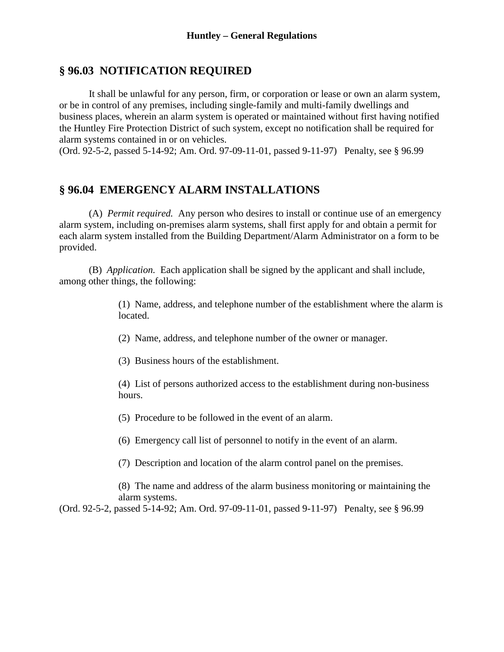#### **§ 96.03 NOTIFICATION REQUIRED**

It shall be unlawful for any person, firm, or corporation or lease or own an alarm system, or be in control of any premises, including single-family and multi-family dwellings and business places, wherein an alarm system is operated or maintained without first having notified the Huntley Fire Protection District of such system, except no notification shall be required for alarm systems contained in or on vehicles.

(Ord. 92-5-2, passed 5-14-92; Am. Ord. 97-09-11-01, passed 9-11-97) Penalty, see § 96.99

#### **§ 96.04 EMERGENCY ALARM INSTALLATIONS**

(A) *Permit required.* Any person who desires to install or continue use of an emergency alarm system, including on-premises alarm systems, shall first apply for and obtain a permit for each alarm system installed from the Building Department/Alarm Administrator on a form to be provided.

(B) *Application.* Each application shall be signed by the applicant and shall include, among other things, the following:

> (1) Name, address, and telephone number of the establishment where the alarm is located.

(2) Name, address, and telephone number of the owner or manager.

(3) Business hours of the establishment.

(4) List of persons authorized access to the establishment during non-business hours.

(5) Procedure to be followed in the event of an alarm.

(6) Emergency call list of personnel to notify in the event of an alarm.

(7) Description and location of the alarm control panel on the premises.

(8) The name and address of the alarm business monitoring or maintaining the alarm systems.

(Ord. 92-5-2, passed 5-14-92; Am. Ord. 97-09-11-01, passed 9-11-97) Penalty, see § 96.99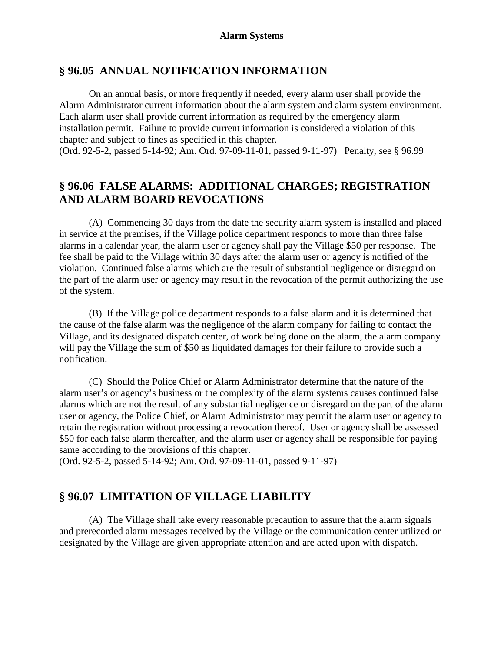#### **§ 96.05 ANNUAL NOTIFICATION INFORMATION**

On an annual basis, or more frequently if needed, every alarm user shall provide the Alarm Administrator current information about the alarm system and alarm system environment. Each alarm user shall provide current information as required by the emergency alarm installation permit. Failure to provide current information is considered a violation of this chapter and subject to fines as specified in this chapter.

(Ord. 92-5-2, passed 5-14-92; Am. Ord. 97-09-11-01, passed 9-11-97) Penalty, see § 96.99

### **§ 96.06 FALSE ALARMS: ADDITIONAL CHARGES; REGISTRATION AND ALARM BOARD REVOCATIONS**

(A) Commencing 30 days from the date the security alarm system is installed and placed in service at the premises, if the Village police department responds to more than three false alarms in a calendar year, the alarm user or agency shall pay the Village \$50 per response. The fee shall be paid to the Village within 30 days after the alarm user or agency is notified of the violation. Continued false alarms which are the result of substantial negligence or disregard on the part of the alarm user or agency may result in the revocation of the permit authorizing the use of the system.

(B) If the Village police department responds to a false alarm and it is determined that the cause of the false alarm was the negligence of the alarm company for failing to contact the Village, and its designated dispatch center, of work being done on the alarm, the alarm company will pay the Village the sum of \$50 as liquidated damages for their failure to provide such a notification.

(C) Should the Police Chief or Alarm Administrator determine that the nature of the alarm user's or agency's business or the complexity of the alarm systems causes continued false alarms which are not the result of any substantial negligence or disregard on the part of the alarm user or agency, the Police Chief, or Alarm Administrator may permit the alarm user or agency to retain the registration without processing a revocation thereof. User or agency shall be assessed \$50 for each false alarm thereafter, and the alarm user or agency shall be responsible for paying same according to the provisions of this chapter.

(Ord. 92-5-2, passed 5-14-92; Am. Ord. 97-09-11-01, passed 9-11-97)

#### **§ 96.07 LIMITATION OF VILLAGE LIABILITY**

(A) The Village shall take every reasonable precaution to assure that the alarm signals and prerecorded alarm messages received by the Village or the communication center utilized or designated by the Village are given appropriate attention and are acted upon with dispatch.